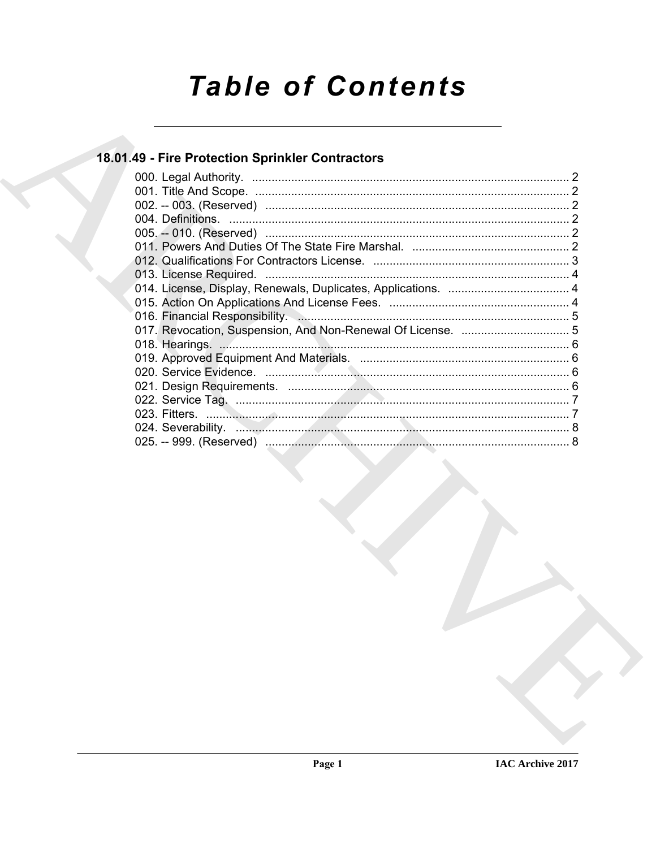# **Table of Contents**

# 18.01.49 - Fire Protection Sprinkler Contractors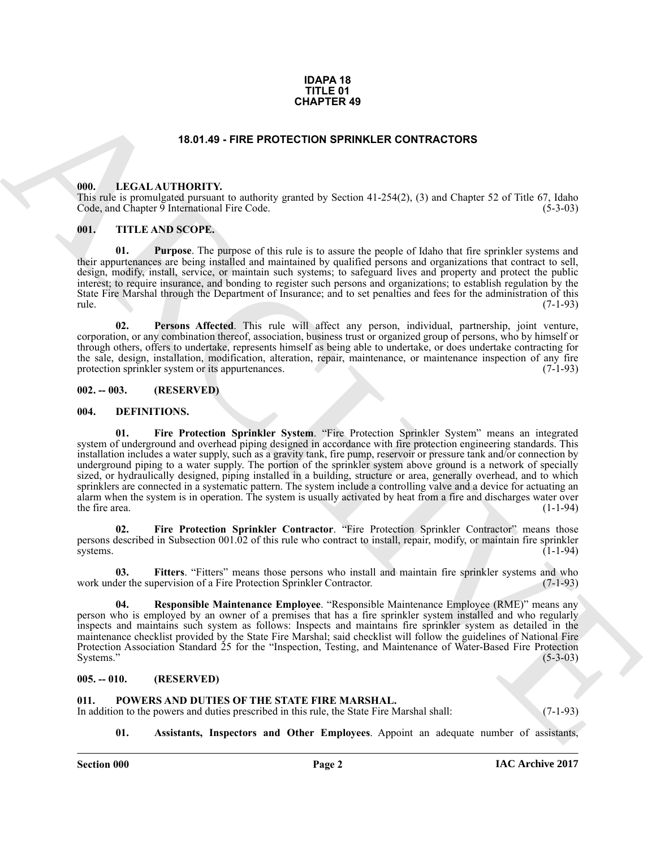# **IDAPA 18 TITLE 01 CHAPTER 49**

# **18.01.49 - FIRE PROTECTION SPRINKLER CONTRACTORS**

# <span id="page-1-12"></span><span id="page-1-1"></span><span id="page-1-0"></span>**000. LEGAL AUTHORITY.**

This rule is promulgated pursuant to authority granted by Section 41-254(2), (3) and Chapter 52 of Title 67, Idaho Code, and Chapter 9 International Fire Code. (5-3-03)

# <span id="page-1-15"></span><span id="page-1-2"></span>**001. TITLE AND SCOPE.**

**01. Purpose**. The purpose of this rule is to assure the people of Idaho that fire sprinkler systems and their appurtenances are being installed and maintained by qualified persons and organizations that contract to sell, design, modify, install, service, or maintain such systems; to safeguard lives and property and protect the public interest; to require insurance, and bonding to register such persons and organizations; to establish regulation by the State Fire Marshal through the Department of Insurance; and to set penalties and fees for the administration of this rule. (7-1-93) rule. (7-1-93)

**02. Persons Affected**. This rule will affect any person, individual, partnership, joint venture, corporation, or any combination thereof, association, business trust or organized group of persons, who by himself or through others, offers to undertake, represents himself as being able to undertake, or does undertake contracting for the sale, design, installation, modification, alteration, repair, maintenance, or maintenance inspection of any fire protection sprinkler system or its appurtenances. (7-1-93) protection sprinkler system or its appurtenances.

### <span id="page-1-3"></span>**002. -- 003. (RESERVED)**

# <span id="page-1-9"></span><span id="page-1-7"></span><span id="page-1-4"></span>**004. DEFINITIONS.**

**CHAPTER 49**<br> **CHARCHIVE CONTRACTORS**<br> **CHARCHIVE CONTRACTORS**<br> **CHARCHIVE CONTRACTORS**<br> **CHARCHIVE CONTRACTORS**<br> **CHARCHIVE CONTRACTORS**<br> **CHARCHIVE CONTRACTORS**<br> **CHARCHIVE CONTRACTORS**<br> **CHARCHIVE CONTRACTORS**<br> **CHARCH 01. Fire Protection Sprinkler System**. "Fire Protection Sprinkler System" means an integrated system of underground and overhead piping designed in accordance with fire protection engineering standards. This installation includes a water supply, such as a gravity tank, fire pump, reservoir or pressure tank and/or connection by underground piping to a water supply. The portion of the sprinkler system above ground is a network of specially sized, or hydraulically designed, piping installed in a building, structure or area, generally overhead, and to which sprinklers are connected in a systematic pattern. The system include a controlling valve and a device for actuating an alarm when the system is in operation. The system is usually activated by heat from a fire and discharges water over the fire area.  $(1-1-94)$ 

<span id="page-1-8"></span>**02. Fire Protection Sprinkler Contractor**. "Fire Protection Sprinkler Contractor" means those persons described in Subsection 001.02 of this rule who contract to install, repair, modify, or maintain fire sprinkler systems. systems.  $(1-1-94)$ 

<span id="page-1-10"></span>**03.** Fitters. "Fitters" means those persons who install and maintain fire sprinkler systems and who der the supervision of a Fire Protection Sprinkler Contractor. (7-1-93) work under the supervision of a Fire Protection Sprinkler Contractor.

<span id="page-1-11"></span>**Responsible Maintenance Employee.** "Responsible Maintenance Employee (RME)" means any person who is employed by an owner of a premises that has a fire sprinkler system installed and who regularly inspects and maintains such system as follows: Inspects and maintains fire sprinkler system as detailed in the maintenance checklist provided by the State Fire Marshal; said checklist will follow the guidelines of National Fire Protection Association Standard 25 for the "Inspection, Testing, and Maintenance of Water-Based Fire Protection Systems." (5-3-03) Systems." (5-3-03)

## <span id="page-1-5"></span>**005. -- 010. (RESERVED)**

### <span id="page-1-13"></span><span id="page-1-6"></span>POWERS AND DUTIES OF THE STATE FIRE MARSHAL.

In addition to the powers and duties prescribed in this rule, the State Fire Marshal shall: (7-1-93)

- 
- <span id="page-1-14"></span>**01. Assistants, Inspectors and Other Employees**. Appoint an adequate number of assistants,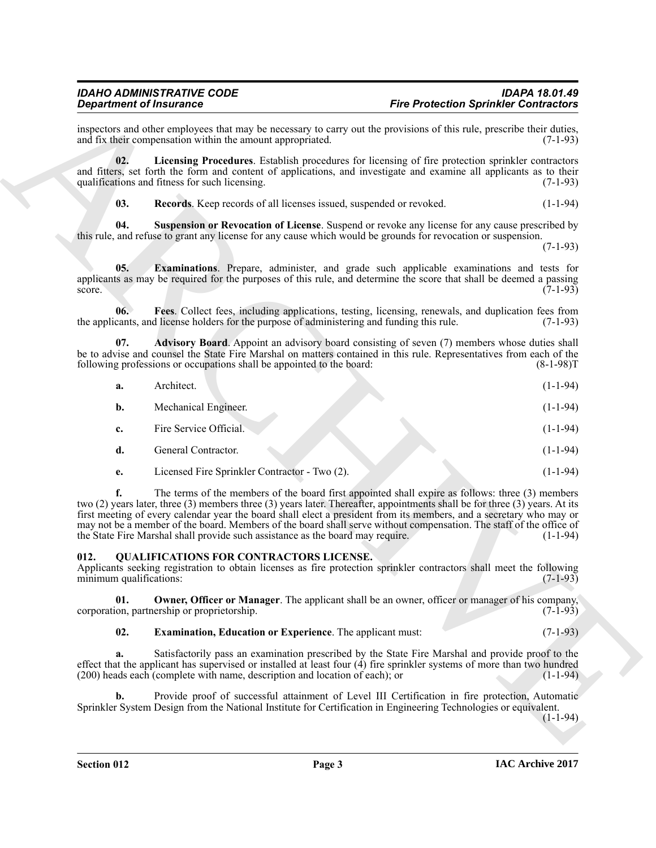# <span id="page-2-5"></span><span id="page-2-4"></span><span id="page-2-3"></span><span id="page-2-2"></span>*IDAHO ADMINISTRATIVE CODE IDAPA 18.01.49*

| <b>Department of Insurance</b>  |                                                                                                                                                                                                                                                                                                                                                                                                                                                                                                                                                                 | <b>Fire Protection Sprinkler Contractors</b> |
|---------------------------------|-----------------------------------------------------------------------------------------------------------------------------------------------------------------------------------------------------------------------------------------------------------------------------------------------------------------------------------------------------------------------------------------------------------------------------------------------------------------------------------------------------------------------------------------------------------------|----------------------------------------------|
|                                 | inspectors and other employees that may be necessary to carry out the provisions of this rule, prescribe their duties,<br>and fix their compensation within the amount appropriated.                                                                                                                                                                                                                                                                                                                                                                            | $(7-1-93)$                                   |
| 02.                             | Licensing Procedures. Establish procedures for licensing of fire protection sprinkler contractors<br>and fitters, set forth the form and content of applications, and investigate and examine all applicants as to their<br>qualifications and fitness for such licensing.                                                                                                                                                                                                                                                                                      | $(7-1-93)$                                   |
| 03.                             | Records. Keep records of all licenses issued, suspended or revoked.                                                                                                                                                                                                                                                                                                                                                                                                                                                                                             | $(1-1-94)$                                   |
| 04.                             | <b>Suspension or Revocation of License</b> . Suspend or revoke any license for any cause prescribed by<br>this rule, and refuse to grant any license for any cause which would be grounds for revocation or suspension.                                                                                                                                                                                                                                                                                                                                         | $(7-1-93)$                                   |
| 05.<br>score.                   | Examinations. Prepare, administer, and grade such applicable examinations and tests for<br>applicants as may be required for the purposes of this rule, and determine the score that shall be deemed a passing                                                                                                                                                                                                                                                                                                                                                  | $(7-1-93)$                                   |
| 06.                             | Fees. Collect fees, including applications, testing, licensing, renewals, and duplication fees from<br>the applicants, and license holders for the purpose of administering and funding this rule.                                                                                                                                                                                                                                                                                                                                                              | $(7-1-93)$                                   |
| 07.                             | Advisory Board. Appoint an advisory board consisting of seven (7) members whose duties shall<br>be to advise and counsel the State Fire Marshal on matters contained in this rule. Representatives from each of the<br>following professions or occupations shall be appointed to the board:                                                                                                                                                                                                                                                                    | $(8-1-98)T$                                  |
| a.                              | Architect.                                                                                                                                                                                                                                                                                                                                                                                                                                                                                                                                                      | $(1-1-94)$                                   |
| b.                              | Mechanical Engineer.                                                                                                                                                                                                                                                                                                                                                                                                                                                                                                                                            | $(1-1-94)$                                   |
| c.                              | Fire Service Official.                                                                                                                                                                                                                                                                                                                                                                                                                                                                                                                                          | $(1-1-94)$                                   |
| d.                              | General Contractor.                                                                                                                                                                                                                                                                                                                                                                                                                                                                                                                                             | $(1-1-94)$                                   |
| e.                              | Licensed Fire Sprinkler Contractor - Two (2).                                                                                                                                                                                                                                                                                                                                                                                                                                                                                                                   | $(1-1-94)$                                   |
| f.                              | The terms of the members of the board first appointed shall expire as follows: three (3) members<br>two (2) years later, three (3) members three (3) years later. Thereafter, appointments shall be for three (3) years. At its<br>first meeting of every calendar year the board shall elect a president from its members, and a secretary who may or<br>may not be a member of the board. Members of the board shall serve without compensation. The staff of the office of<br>the State Fire Marshal shall provide such assistance as the board may require. | $(1-1-94)$                                   |
| 012.<br>minimum qualifications: | <b>QUALIFICATIONS FOR CONTRACTORS LICENSE.</b><br>Applicants seeking registration to obtain licenses as fire protection sprinkler contractors shall meet the following                                                                                                                                                                                                                                                                                                                                                                                          | $(7-1-93)$                                   |
| 01.                             | Owner, Officer or Manager. The applicant shall be an owner, officer or manager of his company,<br>corporation, partnership or proprietorship.                                                                                                                                                                                                                                                                                                                                                                                                                   | $(7-1-93)$                                   |
| 02.                             | <b>Examination, Education or Experience.</b> The applicant must:                                                                                                                                                                                                                                                                                                                                                                                                                                                                                                | $(7-1-93)$                                   |
| a.                              | Satisfactorily pass an examination prescribed by the State Fire Marshal and provide proof to the<br>effect that the applicant has supervised or installed at least four $(4)$ fire sprinkler systems of more than two hundred<br>$(200)$ heads each (complete with name, description and location of each); or                                                                                                                                                                                                                                                  | $(1-1-94)$                                   |
|                                 | Provide proof of successful attainment of Level III Certification in fire protection, Automatic                                                                                                                                                                                                                                                                                                                                                                                                                                                                 |                                              |
| b.                              | Sprinkler System Design from the National Institute for Certification in Engineering Technologies or equivalent.                                                                                                                                                                                                                                                                                                                                                                                                                                                | $(1-1-94)$                                   |

# <span id="page-2-8"></span><span id="page-2-7"></span><span id="page-2-6"></span><span id="page-2-1"></span><span id="page-2-0"></span>**012. QUALIFICATIONS FOR CONTRACTORS LICENSE.**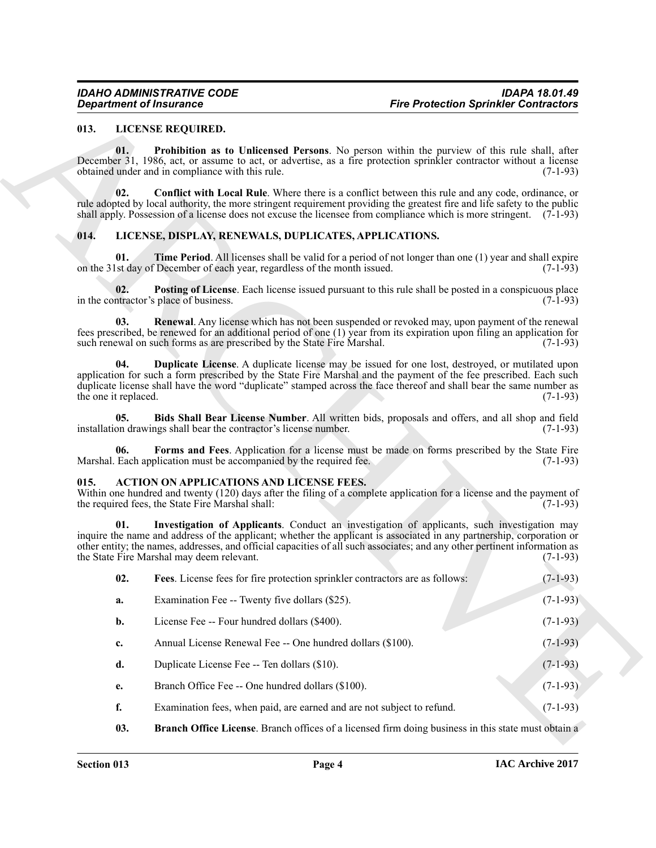# <span id="page-3-9"></span><span id="page-3-7"></span><span id="page-3-0"></span>**013. LICENSE REQUIRED.**

# <span id="page-3-16"></span><span id="page-3-15"></span><span id="page-3-14"></span><span id="page-3-12"></span><span id="page-3-10"></span><span id="page-3-8"></span><span id="page-3-1"></span>**014. LICENSE, DISPLAY, RENEWALS, DUPLICATES, APPLICATIONS.**

# <span id="page-3-13"></span><span id="page-3-11"></span><span id="page-3-6"></span><span id="page-3-5"></span><span id="page-3-4"></span><span id="page-3-3"></span><span id="page-3-2"></span>**015. ACTION ON APPLICATIONS AND LICENSE FEES.**

| <b>Department of Insurance</b> |                                                                                                     | <b>Fire Protection Sprinkler Contractors</b>                                                                                                                                                                                                                                                                                                          |            |  |
|--------------------------------|-----------------------------------------------------------------------------------------------------|-------------------------------------------------------------------------------------------------------------------------------------------------------------------------------------------------------------------------------------------------------------------------------------------------------------------------------------------------------|------------|--|
| 013.                           | LICENSE REQUIRED.                                                                                   |                                                                                                                                                                                                                                                                                                                                                       |            |  |
| 01.                            | obtained under and in compliance with this rule.                                                    | <b>Prohibition as to Unlicensed Persons.</b> No person within the purview of this rule shall, after<br>December 31, 1986, act, or assume to act, or advertise, as a fire protection sprinkler contractor without a license                                                                                                                            | $(7-1-93)$ |  |
| 02.                            |                                                                                                     | Conflict with Local Rule. Where there is a conflict between this rule and any code, ordinance, or<br>rule adopted by local authority, the more stringent requirement providing the greatest fire and life safety to the public<br>shall apply. Possession of a license does not excuse the licensee from compliance which is more stringent. (7-1-93) |            |  |
| 014.                           | LICENSE, DISPLAY, RENEWALS, DUPLICATES, APPLICATIONS.                                               |                                                                                                                                                                                                                                                                                                                                                       |            |  |
| 01.                            | on the 31st day of December of each year, regardless of the month issued.                           | <b>Time Period.</b> All licenses shall be valid for a period of not longer than one (1) year and shall expire                                                                                                                                                                                                                                         | $(7-1-93)$ |  |
| 02.                            | in the contractor's place of business.                                                              | <b>Posting of License</b> . Each license issued pursuant to this rule shall be posted in a conspicuous place                                                                                                                                                                                                                                          | $(7-1-93)$ |  |
| 03.                            | such renewal on such forms as are prescribed by the State Fire Marshal.                             | <b>Renewal</b> . Any license which has not been suspended or revoked may, upon payment of the renewal<br>fees prescribed, be renewed for an additional period of one (1) year from its expiration upon filing an application for                                                                                                                      | $(7-1-93)$ |  |
| 04.<br>the one it replaced.    |                                                                                                     | <b>Duplicate License.</b> A duplicate license may be issued for one lost, destroyed, or mutilated upon<br>application for such a form prescribed by the State Fire Marshal and the payment of the fee prescribed. Each such<br>duplicate license shall have the word "duplicate" stamped across the face thereof and shall bear the same number as    | $(7-1-93)$ |  |
| 05.                            | installation drawings shall bear the contractor's license number.                                   | Bids Shall Bear License Number. All written bids, proposals and offers, and all shop and field                                                                                                                                                                                                                                                        | $(7-1-93)$ |  |
| 06.                            | Marshal. Each application must be accompanied by the required fee.                                  | Forms and Fees. Application for a license must be made on forms prescribed by the State Fire                                                                                                                                                                                                                                                          | $(7-1-93)$ |  |
| 015.                           | <b>ACTION ON APPLICATIONS AND LICENSE FEES.</b><br>the required fees, the State Fire Marshal shall: | Within one hundred and twenty (120) days after the filing of a complete application for a license and the payment of                                                                                                                                                                                                                                  | $(7-1-93)$ |  |
| 01.                            | the State Fire Marshal may deem relevant.                                                           | Investigation of Applicants. Conduct an investigation of applicants, such investigation may<br>inquire the name and address of the applicant; whether the applicant is associated in any partnership, corporation or<br>other entity; the names, addresses, and official capacities of all such associates; and any other pertinent information as    | $(7-1-93)$ |  |
| 02.                            |                                                                                                     | Fees. License fees for fire protection sprinkler contractors are as follows:                                                                                                                                                                                                                                                                          | $(7-1-93)$ |  |
| a.                             | Examination Fee -- Twenty five dollars (\$25).                                                      |                                                                                                                                                                                                                                                                                                                                                       | $(7-1-93)$ |  |
| b.                             | License Fee -- Four hundred dollars (\$400).                                                        |                                                                                                                                                                                                                                                                                                                                                       | $(7-1-93)$ |  |
| c.                             | Annual License Renewal Fee -- One hundred dollars (\$100).                                          |                                                                                                                                                                                                                                                                                                                                                       | $(7-1-93)$ |  |
| d.                             | Duplicate License Fee -- Ten dollars (\$10).                                                        |                                                                                                                                                                                                                                                                                                                                                       | $(7-1-93)$ |  |
| e.                             | Branch Office Fee -- One hundred dollars (\$100).                                                   |                                                                                                                                                                                                                                                                                                                                                       | $(7-1-93)$ |  |
| f.                             |                                                                                                     | Examination fees, when paid, are earned and are not subject to refund.                                                                                                                                                                                                                                                                                | $(7-1-93)$ |  |
| 03.                            |                                                                                                     | <b>Branch Office License</b> . Branch offices of a licensed firm doing business in this state must obtain a                                                                                                                                                                                                                                           |            |  |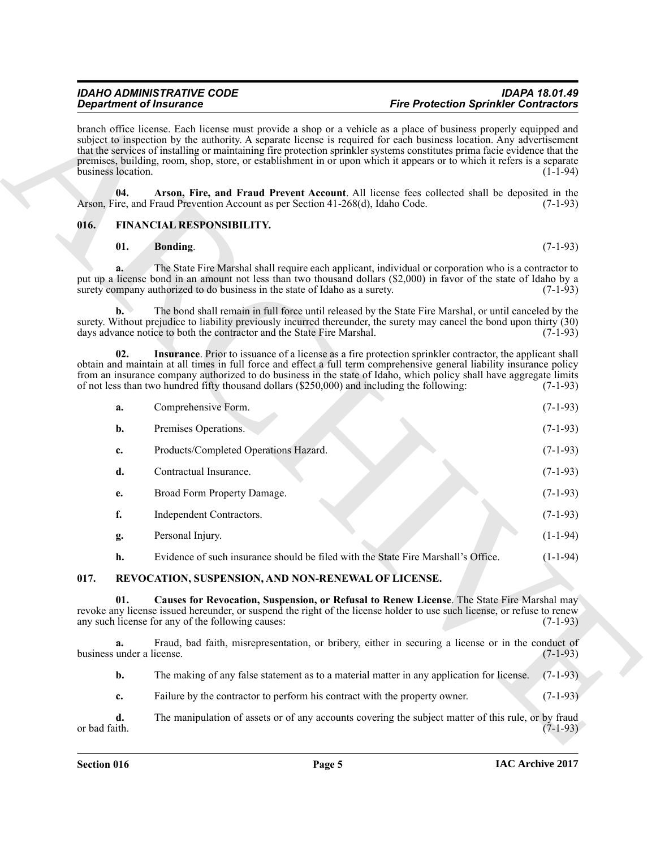# <span id="page-4-0"></span>**016. FINANCIAL RESPONSIBILITY.**

# <span id="page-4-5"></span><span id="page-4-4"></span><span id="page-4-3"></span><span id="page-4-2"></span>**01.** Bonding. (7-1-93)

|      |                                 | <b>Department of Insurance</b>                                                                                                                                                                                                                                                                                                                                                                                                                                    | <b>Fire Protection Sprinkler Contractors</b><br>branch office license. Each license must provide a shop or a vehicle as a place of business properly equipped and<br>subject to inspection by the authority. A separate license is required for each business location. Any advertisement<br>that the services of installing or maintaining fire protection sprinkler systems constitutes prima facie evidence that the<br>premises, building, room, shop, store, or establishment in or upon which it appears or to which it refers is a separate<br>$(1-1-94)$ |            |  |
|------|---------------------------------|-------------------------------------------------------------------------------------------------------------------------------------------------------------------------------------------------------------------------------------------------------------------------------------------------------------------------------------------------------------------------------------------------------------------------------------------------------------------|------------------------------------------------------------------------------------------------------------------------------------------------------------------------------------------------------------------------------------------------------------------------------------------------------------------------------------------------------------------------------------------------------------------------------------------------------------------------------------------------------------------------------------------------------------------|------------|--|
|      | business location.              |                                                                                                                                                                                                                                                                                                                                                                                                                                                                   |                                                                                                                                                                                                                                                                                                                                                                                                                                                                                                                                                                  |            |  |
|      | 04.                             | Arson, Fire, and Fraud Prevent Account. All license fees collected shall be deposited in the<br>Arson, Fire, and Fraud Prevention Account as per Section 41-268(d), Idaho Code.                                                                                                                                                                                                                                                                                   |                                                                                                                                                                                                                                                                                                                                                                                                                                                                                                                                                                  | $(7-1-93)$ |  |
| 016. |                                 | FINANCIAL RESPONSIBILITY.                                                                                                                                                                                                                                                                                                                                                                                                                                         |                                                                                                                                                                                                                                                                                                                                                                                                                                                                                                                                                                  |            |  |
|      | 01.                             | Bonding.                                                                                                                                                                                                                                                                                                                                                                                                                                                          |                                                                                                                                                                                                                                                                                                                                                                                                                                                                                                                                                                  | $(7-1-93)$ |  |
|      | a.                              | The State Fire Marshal shall require each applicant, individual or corporation who is a contractor to<br>put up a license bond in an amount not less than two thousand dollars (\$2,000) in favor of the state of Idaho by a<br>surety company authorized to do business in the state of Idaho as a surety.                                                                                                                                                       |                                                                                                                                                                                                                                                                                                                                                                                                                                                                                                                                                                  | $(7-1-93)$ |  |
|      | b.                              | The bond shall remain in full force until released by the State Fire Marshal, or until canceled by the<br>surety. Without prejudice to liability previously incurred thereunder, the surety may cancel the bond upon thirty (30)<br>days advance notice to both the contractor and the State Fire Marshal.                                                                                                                                                        |                                                                                                                                                                                                                                                                                                                                                                                                                                                                                                                                                                  | $(7-1-93)$ |  |
|      | 02.                             | <b>Insurance</b> . Prior to issuance of a license as a fire protection sprinkler contractor, the applicant shall<br>obtain and maintain at all times in full force and effect a full term comprehensive general liability insurance policy<br>from an insurance company authorized to do business in the state of Idaho, which policy shall have aggregate limits<br>of not less than two hundred fifty thousand dollars (\$250,000) and including the following: |                                                                                                                                                                                                                                                                                                                                                                                                                                                                                                                                                                  | $(7-1-93)$ |  |
|      | a.                              | Comprehensive Form.                                                                                                                                                                                                                                                                                                                                                                                                                                               |                                                                                                                                                                                                                                                                                                                                                                                                                                                                                                                                                                  | $(7-1-93)$ |  |
|      | b.                              | Premises Operations.                                                                                                                                                                                                                                                                                                                                                                                                                                              |                                                                                                                                                                                                                                                                                                                                                                                                                                                                                                                                                                  | $(7-1-93)$ |  |
|      | c.                              | Products/Completed Operations Hazard.                                                                                                                                                                                                                                                                                                                                                                                                                             |                                                                                                                                                                                                                                                                                                                                                                                                                                                                                                                                                                  | $(7-1-93)$ |  |
|      | d.                              | Contractual Insurance.                                                                                                                                                                                                                                                                                                                                                                                                                                            |                                                                                                                                                                                                                                                                                                                                                                                                                                                                                                                                                                  | $(7-1-93)$ |  |
|      | e.                              | Broad Form Property Damage.                                                                                                                                                                                                                                                                                                                                                                                                                                       |                                                                                                                                                                                                                                                                                                                                                                                                                                                                                                                                                                  | $(7-1-93)$ |  |
|      | f.                              | Independent Contractors.                                                                                                                                                                                                                                                                                                                                                                                                                                          |                                                                                                                                                                                                                                                                                                                                                                                                                                                                                                                                                                  | $(7-1-93)$ |  |
|      | g.                              | Personal Injury.                                                                                                                                                                                                                                                                                                                                                                                                                                                  |                                                                                                                                                                                                                                                                                                                                                                                                                                                                                                                                                                  | $(1-1-94)$ |  |
|      | h.                              | Evidence of such insurance should be filed with the State Fire Marshall's Office.                                                                                                                                                                                                                                                                                                                                                                                 |                                                                                                                                                                                                                                                                                                                                                                                                                                                                                                                                                                  | $(1-1-94)$ |  |
| 017. |                                 | REVOCATION, SUSPENSION, AND NON-RENEWAL OF LICENSE.                                                                                                                                                                                                                                                                                                                                                                                                               |                                                                                                                                                                                                                                                                                                                                                                                                                                                                                                                                                                  |            |  |
|      | 01.                             | Causes for Revocation, Suspension, or Refusal to Renew License. The State Fire Marshal may<br>revoke any license issued hereunder, or suspend the right of the license holder to use such license, or refuse to renew<br>any such license for any of the following causes:                                                                                                                                                                                        |                                                                                                                                                                                                                                                                                                                                                                                                                                                                                                                                                                  | $(7-1-93)$ |  |
|      | a.<br>business under a license. | Fraud, bad faith, misrepresentation, or bribery, either in securing a license or in the conduct of                                                                                                                                                                                                                                                                                                                                                                |                                                                                                                                                                                                                                                                                                                                                                                                                                                                                                                                                                  | $(7-1-93)$ |  |
|      | b.                              | The making of any false statement as to a material matter in any application for license.                                                                                                                                                                                                                                                                                                                                                                         |                                                                                                                                                                                                                                                                                                                                                                                                                                                                                                                                                                  | $(7-1-93)$ |  |
|      | c.                              | Failure by the contractor to perform his contract with the property owner.                                                                                                                                                                                                                                                                                                                                                                                        |                                                                                                                                                                                                                                                                                                                                                                                                                                                                                                                                                                  | $(7-1-93)$ |  |
|      | d.<br>or bad faith.             | The manipulation of assets or of any accounts covering the subject matter of this rule, or by fraud                                                                                                                                                                                                                                                                                                                                                               |                                                                                                                                                                                                                                                                                                                                                                                                                                                                                                                                                                  | $(7-1-93)$ |  |

# <span id="page-4-7"></span><span id="page-4-6"></span><span id="page-4-1"></span>**017. REVOCATION, SUSPENSION, AND NON-RENEWAL OF LICENSE.**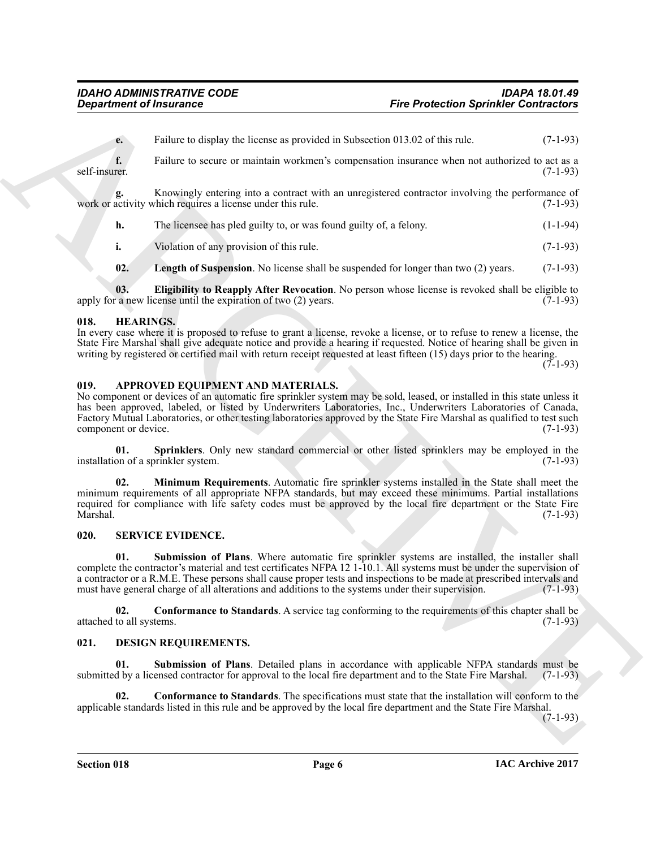**e.** Failure to display the license as provided in Subsection 013.02 of this rule. (7-1-93)

**f.** Failure to secure or maintain workmen's compensation insurance when not authorized to act as a self-insurer. (7-1-93) self-insurer. (7-1-93)

Knowingly entering into a contract with an unregistered contractor involving the performance of *chich requires a license under this rule*. (7-1-93) work or activity which requires a license under this rule.

**h.** The licensee has pled guilty to, or was found guilty of, a felony. (1-1-94)

**i.** Violation of any provision of this rule. (7-1-93)

<span id="page-5-12"></span><span id="page-5-11"></span>**02.** Length of Suspension. No license shall be suspended for longer than two (2) years. (7-1-93)

**03. Eligibility to Reapply After Revocation**. No person whose license is revoked shall be eligible to a new license until the expiration of two (2) years. (7-1-93) apply for a new license until the expiration of two  $(2)$  years.

# <span id="page-5-10"></span><span id="page-5-0"></span>**018. HEARINGS.**

In every case where it is proposed to refuse to grant a license, revoke a license, or to refuse to renew a license, the State Fire Marshal shall give adequate notice and provide a hearing if requested. Notice of hearing shall be given in writing by registered or certified mail with return receipt requested at least fifteen (15) days prior to the hearing.

 $(7-1-93)$ 

# <span id="page-5-4"></span><span id="page-5-1"></span>**019. APPROVED EQUIPMENT AND MATERIALS.**

No component or devices of an automatic fire sprinkler system may be sold, leased, or installed in this state unless it has been approved, labeled, or listed by Underwriters Laboratories, Inc., Underwriters Laboratories of Canada, Factory Mutual Laboratories, or other testing laboratories approved by the State Fire Marshal as qualified to test such component or device. (7-1-93) component or device.

<span id="page-5-6"></span><span id="page-5-5"></span>**01. Sprinklers**. Only new standard commercial or other listed sprinklers may be employed in the on of a sprinkler system. (7-1-93) installation of a sprinkler system.

**Experiment of framework of the sure of the sure of the sure of the Production Sprinkler Contraction<br>
Contraction and the sure of the sure of the sure of the sure of the sure of the sure of the sure of the sure of the sur 02. Minimum Requirements**. Automatic fire sprinkler systems installed in the State shall meet the minimum requirements of all appropriate NFPA standards, but may exceed these minimums. Partial installations required for compliance with life safety codes must be approved by the local fire department or the State Fire<br>Marshal. (7-1-93) Marshal. (7-1-93)

# <span id="page-5-13"></span><span id="page-5-2"></span>**020. SERVICE EVIDENCE.**

<span id="page-5-15"></span>**01. Submission of Plans**. Where automatic fire sprinkler systems are installed, the installer shall complete the contractor's material and test certificates NFPA 12 1-10.1. All systems must be under the supervision of a contractor or a R.M.E. These persons shall cause proper tests and inspections to be made at prescribed intervals and must have general charge of all alterations and additions to the systems under their supervision. (7-1must have general charge of all alterations and additions to the systems under their supervision.

<span id="page-5-14"></span>**02. Conformance to Standards**. A service tag conforming to the requirements of this chapter shall be to all systems. (7-1-93) attached to all systems.

# <span id="page-5-7"></span><span id="page-5-3"></span>**021. DESIGN REQUIREMENTS.**

<span id="page-5-9"></span>**01. Submission of Plans**. Detailed plans in accordance with applicable NFPA standards must be submitted by a licensed contractor for approval to the local fire department and to the State Fire Marshal. (7-1-93)

<span id="page-5-8"></span>**02. Conformance to Standards**. The specifications must state that the installation will conform to the applicable standards listed in this rule and be approved by the local fire department and the State Fire Marshal.

(7-1-93)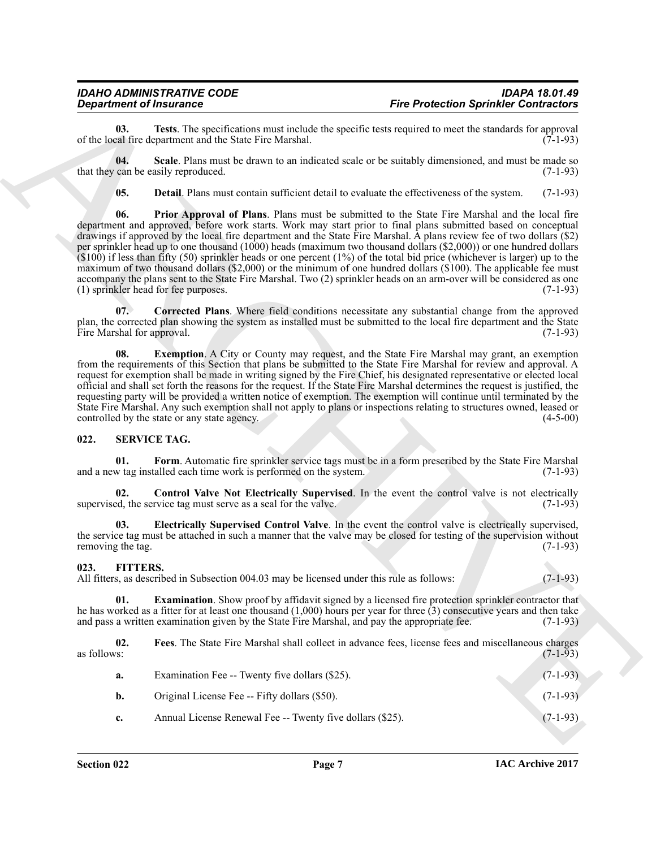<span id="page-6-7"></span>**03.** Tests. The specifications must include the specific tests required to meet the standards for approval cal fire department and the State Fire Marshal. (7-1-93) of the local fire department and the State Fire Marshal.

**04. Scale**. Plans must be drawn to an indicated scale or be suitably dimensioned, and must be made so that they can be easily reproduced. (7-1-93)

<span id="page-6-6"></span><span id="page-6-5"></span><span id="page-6-3"></span>**05. Detail**. Plans must contain sufficient detail to evaluate the effectiveness of the system. (7-1-93)

**Experimental Final methods and solid the system set of the Protection Sprinkler Contraction<br>
Solid experimental and solid the system set of the system of the system of the system of the system of the system set of the sy 06. Prior Approval of Plans**. Plans must be submitted to the State Fire Marshal and the local fire department and approved, before work starts. Work may start prior to final plans submitted based on conceptual drawings if approved by the local fire department and the State Fire Marshal. A plans review fee of two dollars (\$2) per sprinkler head up to one thousand (1000) heads (maximum two thousand dollars (\$2,000)) or one hundred dollars (\$100) if less than fifty (50) sprinkler heads or one percent (1%) of the total bid price (whichever is larger) up to the maximum of two thousand dollars (\$2,000) or the minimum of one hundred dollars (\$100). The applicable fee must accompany the plans sent to the State Fire Marshal. Two (2) sprinkler heads on an arm-over will be considered as one (1) sprinkler head for fee purposes. (7-1-93)

<span id="page-6-2"></span>**07. Corrected Plans**. Where field conditions necessitate any substantial change from the approved plan, the corrected plan showing the system as installed must be submitted to the local fire department and the State Fire Marshal for approval. (7-1-93)

<span id="page-6-4"></span>**08. Exemption**. A City or County may request, and the State Fire Marshal may grant, an exemption from the requirements of this Section that plans be submitted to the State Fire Marshal for review and approval. A request for exemption shall be made in writing signed by the Fire Chief, his designated representative or elected local official and shall set forth the reasons for the request. If the State Fire Marshal determines the request is justified, the requesting party will be provided a written notice of exemption. The exemption will continue until terminated by the State Fire Marshal. Any such exemption shall not apply to plans or inspections relating to structures owned, leased or controlled by the state or any state agency. (4-5-00) controlled by the state or any state agency.

# <span id="page-6-11"></span><span id="page-6-0"></span>**022. SERVICE TAG.**

<span id="page-6-14"></span>**01.** Form. Automatic fire sprinkler service tags must be in a form prescribed by the State Fire Marshal w tag installed each time work is performed on the system. (7-1-93) and a new tag installed each time work is performed on the system.

<span id="page-6-12"></span>**02. Control Valve Not Electrically Supervised**. In the event the control valve is not electrically ed, the service tag must serve as a seal for the valve. (7-1-93) supervised, the service tag must serve as a seal for the valve.

<span id="page-6-13"></span>**03. Electrically Supervised Control Valve**. In the event the control valve is electrically supervised, the service tag must be attached in such a manner that the valve may be closed for testing of the supervision without removing the tag. (7-1-93) removing the tag.

# <span id="page-6-8"></span><span id="page-6-1"></span>**023. FITTERS.**

All fitters, as described in Subsection 004.03 may be licensed under this rule as follows: (7-1-93)

<span id="page-6-9"></span>**01. Examination**. Show proof by affidavit signed by a licensed fire protection sprinkler contractor that he has worked as a fitter for at least one thousand  $(1,000)$  hours per year for three  $(3)$  consecutive years and then take and pass a written examination given by the State Fire Marshal, and pay the appropriate fee.  $(7$ and pass a written examination given by the State Fire Marshal, and pay the appropriate fee.

**02.** Fees. The State Fire Marshal shall collect in advance fees, license fees and miscellaneous charges as follows: as follows:  $(7-1-93)$ 

<span id="page-6-10"></span>

| а.             | Examination Fee -- Twenty five dollars (\$25).            | $(7-1-93)$ |
|----------------|-----------------------------------------------------------|------------|
| b.             | Original License Fee -- Fifty dollars (\$50).             | $(7-1-93)$ |
| $\mathbf{c}$ . | Annual License Renewal Fee -- Twenty five dollars (\$25). | $(7-1-93)$ |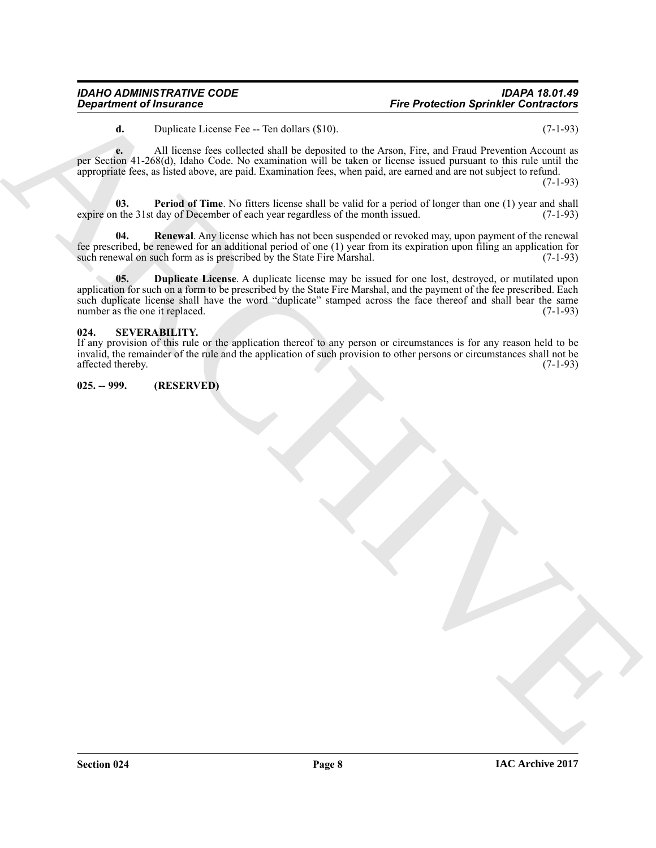<span id="page-7-3"></span>**d.** Duplicate License Fee -- Ten dollars (\$10). (7-1-93)

**e.** All license fees collected shall be deposited to the Arson, Fire, and Fraud Prevention Account as per Section 41-268(d), Idaho Code. No examination will be taken or license issued pursuant to this rule until the appropriate fees, as listed above, are paid. Examination fees, when paid, are earned and are not subject to refund.

(7-1-93)

**03.** Period of Time. No fitters license shall be valid for a period of longer than one (1) year and shall the 31st day of December of each year regardless of the month issued. (7-1-93) expire on the 31st day of December of each year regardless of the month issued.

<span id="page-7-4"></span><span id="page-7-2"></span>**04. Renewal**. Any license which has not been suspended or revoked may, upon payment of the renewal fee prescribed, be renewed for an additional period of one (1) year from its expiration upon filing an application for such renewal on such form as is prescribed by the State Fire Marshal.  $(7-1-93)$ such renewal on such form as is prescribed by the State Fire Marshal.

**Eightinism of Instance Control is the state of the state of the state of the state of the state of the state of the state of the state of the state of the state of the state of the state of the state of the state of the 05. Duplicate License**. A duplicate license may be issued for one lost, destroyed, or mutilated upon application for such on a form to be prescribed by the State Fire Marshal, and the payment of the fee prescribed. Each such duplicate license shall have the word "duplicate" stamped across the face thereof and shall bear the same number as the one it replaced. (7-1-93)

# <span id="page-7-5"></span><span id="page-7-0"></span>**024. SEVERABILITY.**

If any provision of this rule or the application thereof to any person or circumstances is for any reason held to be invalid, the remainder of the rule and the application of such provision to other persons or circumstances shall not be affected thereby. (7-1-93) affected thereby.

<span id="page-7-1"></span>**025. -- 999. (RESERVED)**